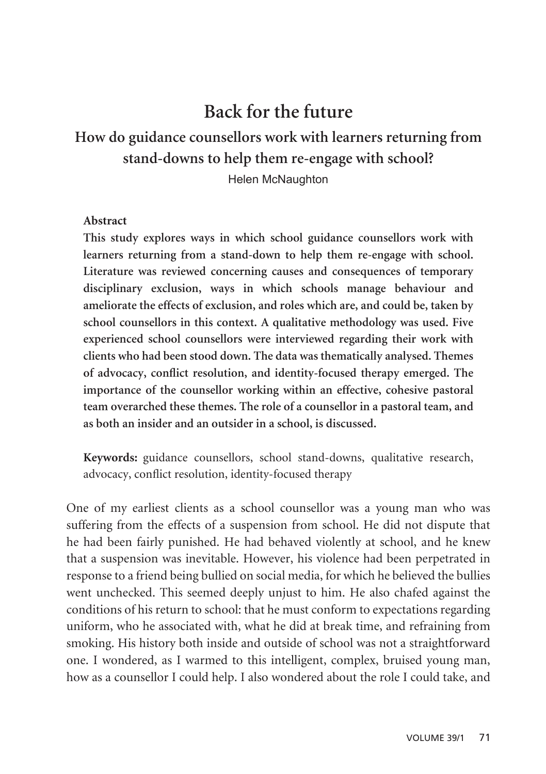# **Back for the future**

## **How do guidance counsellors work with learners returning from stand-downs to help them re-engage with school?**

Helen McNaughton

#### **Abstract**

**This study explores ways in which school guidance counsellors work with learners returning from a stand-down to help them re-engage with school. Literature was reviewed concerning causes and consequences of temporary disciplinary exclusion, ways in which schools manage behaviour and ameliorate the effects of exclusion, and roles which are, and could be, taken by school counsellors in this context. A qualitative methodology was used. Five experienced school counsellors were interviewed regarding their work with clients who had been stood down. The data was thematically analysed. Themes of advocacy, conflict resolution, and identity-focused therapy emerged. The importance of the counsellor working within an effective, cohesive pastoral team overarched these themes. The role of a counsellor in a pastoral team, and as both an insider and an outsider in a school, is discussed.** 

**Keywords:** guidance counsellors, school stand-downs, qualitative research, advocacy, conflict resolution, identity-focused therapy

One of my earliest clients as a school counsellor was a young man who was suffering from the effects of a suspension from school. He did not dispute that he had been fairly punished. He had behaved violently at school, and he knew that a suspension was inevitable. However, his violence had been perpetrated in response to a friend being bullied on social media, for which he believed the bullies went unchecked. This seemed deeply unjust to him. He also chafed against the conditions of his return to school: that he must conform to expectations regarding uniform, who he associated with, what he did at break time, and refraining from smoking. His history both inside and outside of school was not a straightforward one. I wondered, as I warmed to this intelligent, complex, bruised young man, how as a counsellor I could help. I also wondered about the role I could take, and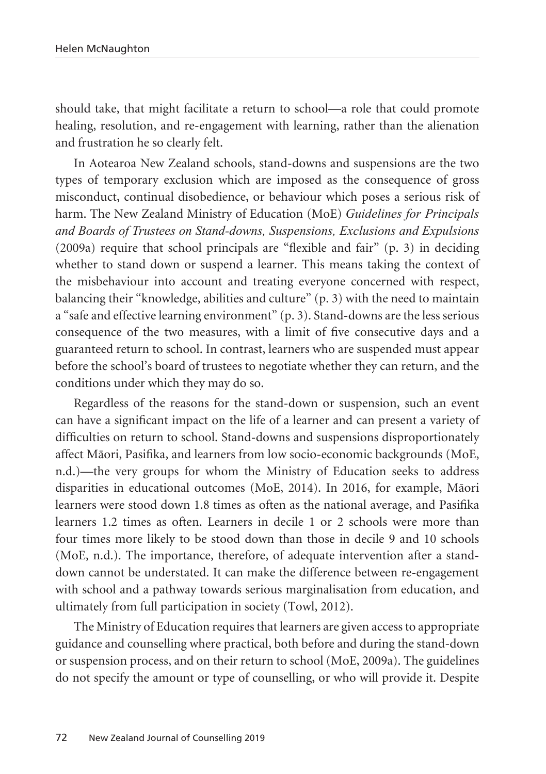should take, that might facilitate a return to school—a role that could promote healing, resolution, and re-engagement with learning, rather than the alienation and frustration he so clearly felt.

In Aotearoa New Zealand schools, stand-downs and suspensions are the two types of temporary exclusion which are imposed as the consequence of gross misconduct, continual disobedience, or behaviour which poses a serious risk of harm. The New Zealand Ministry of Education (MoE) *Guidelines for Principals and Boards of Trustees on Stand-downs, Suspensions, Exclusions and Expulsions* (2009a) require that school principals are "flexible and fair" (p. 3) in deciding whether to stand down or suspend a learner. This means taking the context of the misbehaviour into account and treating everyone concerned with respect, balancing their "knowledge, abilities and culture" (p. 3) with the need to maintain a "safe and effective learning environment" (p. 3). Stand-downs are the less serious consequence of the two measures, with a limit of five consecutive days and a guaranteed return to school. In contrast, learners who are suspended must appear before the school's board of trustees to negotiate whether they can return, and the conditions under which they may do so.

Regardless of the reasons for the stand-down or suspension, such an event can have a significant impact on the life of a learner and can present a variety of difficulties on return to school. Stand-downs and suspensions disproportionately affect Mäori, Pasifika, and learners from low socio-economic backgrounds (MoE, n.d.)—the very groups for whom the Ministry of Education seeks to address disparities in educational outcomes (MoE, 2014). In 2016, for example, Mäori learners were stood down 1.8 times as often as the national average, and Pasifika learners 1.2 times as often. Learners in decile 1 or 2 schools were more than four times more likely to be stood down than those in decile 9 and 10 schools (MoE, n.d.). The importance, therefore, of adequate intervention after a standdown cannot be understated. It can make the difference between re-engagement with school and a pathway towards serious marginalisation from education, and ultimately from full participation in society (Towl, 2012).

The Ministry of Education requires that learners are given access to appropriate guidance and counselling where practical, both before and during the stand-down or suspension process, and on their return to school (MoE, 2009a). The guidelines do not specify the amount or type of counselling, or who will provide it. Despite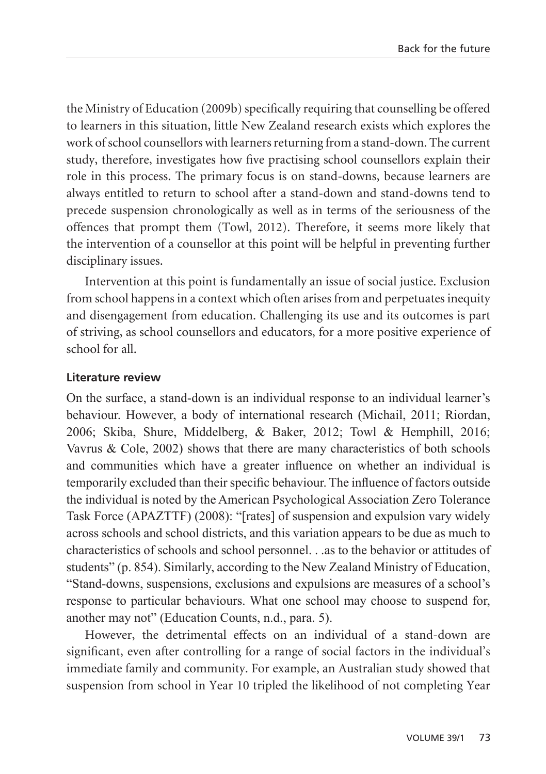the Ministry of Education (2009b) specifically requiring that counselling be offered to learners in this situation, little New Zealand research exists which explores the work of school counsellors with learners returning from a stand-down. The current study, therefore, investigates how five practising school counsellors explain their role in this process. The primary focus is on stand-downs, because learners are always entitled to return to school after a stand-down and stand-downs tend to precede suspension chronologically as well as in terms of the seriousness of the offences that prompt them (Towl, 2012). Therefore, it seems more likely that the intervention of a counsellor at this point will be helpful in preventing further disciplinary issues.

Intervention at this point is fundamentally an issue of social justice. Exclusion from school happens in a context which often arises from and perpetuates inequity and disengagement from education. Challenging its use and its outcomes is part of striving, as school counsellors and educators, for a more positive experience of school for all.

#### **Literature review**

On the surface, a stand-down is an individual response to an individual learner's behaviour. However, a body of international research (Michail, 2011; Riordan, 2006; Skiba, Shure, Middelberg, & Baker, 2012; Towl & Hemphill, 2016; Vavrus  $& Cole, 2002)$  shows that there are many characteristics of both schools and communities which have a greater influence on whether an individual is temporarily excluded than their specific behaviour. The influence of factors outside the individual is noted by the American Psychological Association Zero Tolerance Task Force (APAZTTF) (2008): "[rates] of suspension and expulsion vary widely across schools and school districts, and this variation appears to be due as much to characteristics of schools and school personnel. . .as to the behavior or attitudes of students" (p. 854). Similarly, according to the New Zealand Ministry of Education, "Stand-downs, suspensions, exclusions and expulsions are measures of a school's response to particular behaviours. What one school may choose to suspend for, another may not" (Education Counts, n.d., para. 5).

However, the detrimental effects on an individual of a stand-down are significant, even after controlling for a range of social factors in the individual's immediate family and community. For example, an Australian study showed that suspension from school in Year 10 tripled the likelihood of not completing Year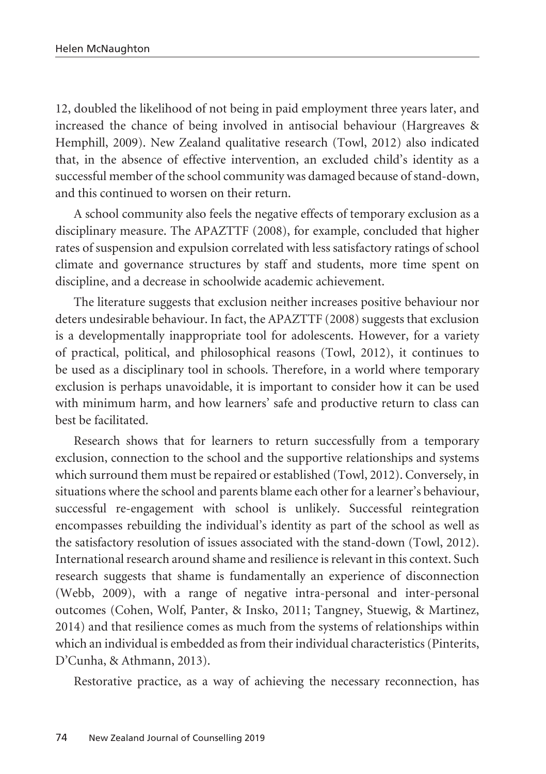12, doubled the likelihood of not being in paid employment three years later, and increased the chance of being involved in antisocial behaviour (Hargreaves & Hemphill, 2009). New Zealand qualitative research (Towl, 2012) also indicated that, in the absence of effective intervention, an excluded child's identity as a successful member of the school community was damaged because of stand-down, and this continued to worsen on their return.

A school community also feels the negative effects of temporary exclusion as a disciplinary measure. The APAZTTF (2008), for example, concluded that higher rates of suspension and expulsion correlated with less satisfactory ratings of school climate and governance structures by staff and students, more time spent on discipline, and a decrease in schoolwide academic achievement.

The literature suggests that exclusion neither increases positive behaviour nor deters undesirable behaviour. In fact, the APAZTTF (2008) suggests that exclusion is a developmentally inappropriate tool for adolescents. However, for a variety of practical, political, and philosophical reasons (Towl, 2012), it continues to be used as a disciplinary tool in schools. Therefore, in a world where temporary exclusion is perhaps unavoidable, it is important to consider how it can be used with minimum harm, and how learners' safe and productive return to class can best be facilitated.

Research shows that for learners to return successfully from a temporary exclusion, connection to the school and the supportive relationships and systems which surround them must be repaired or established (Towl, 2012). Conversely, in situations where the school and parents blame each other for a learner's behaviour, successful re-engagement with school is unlikely. Successful reintegration encompasses rebuilding the individual's identity as part of the school as well as the satisfactory resolution of issues associated with the stand-down (Towl, 2012). International research around shame and resilience is relevant in this context. Such research suggests that shame is fundamentally an experience of disconnection (Webb, 2009), with a range of negative intra-personal and inter-personal outcomes (Cohen, Wolf, Panter, & Insko, 2011; Tangney, Stuewig, & Martinez, 2014) and that resilience comes as much from the systems of relationships within which an individual is embedded as from their individual characteristics (Pinterits, D'Cunha, & Athmann, 2013).

Restorative practice, as a way of achieving the necessary reconnection, has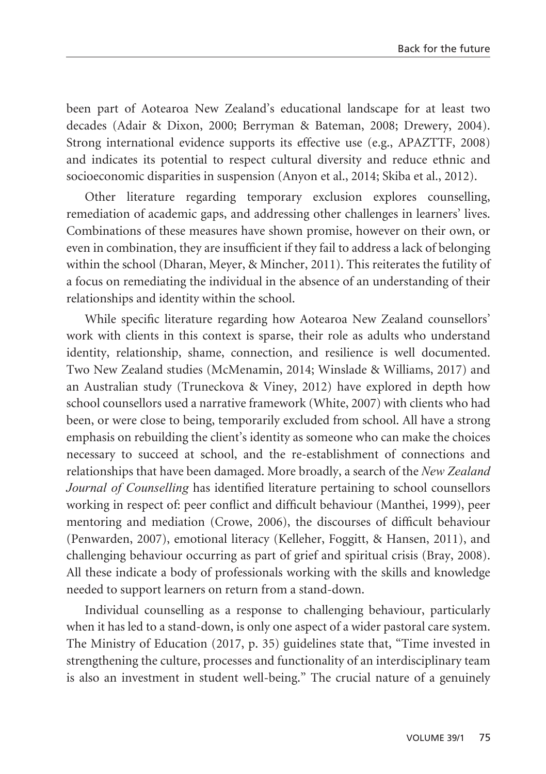been part of Aotearoa New Zealand's educational landscape for at least two decades (Adair & Dixon, 2000; Berryman & Bateman, 2008; Drewery, 2004). Strong international evidence supports its effective use (e.g., APAZTTF, 2008) and indicates its potential to respect cultural diversity and reduce ethnic and socioeconomic disparities in suspension (Anyon et al., 2014; Skiba et al., 2012).

Other literature regarding temporary exclusion explores counselling, remediation of academic gaps, and addressing other challenges in learners' lives. Combinations of these measures have shown promise, however on their own, or even in combination, they are insufficient if they fail to address a lack of belonging within the school (Dharan, Meyer, & Mincher, 2011). This reiterates the futility of a focus on remediating the individual in the absence of an understanding of their relationships and identity within the school.

While specific literature regarding how Aotearoa New Zealand counsellors' work with clients in this context is sparse, their role as adults who understand identity, relationship, shame, connection, and resilience is well documented. Two New Zealand studies (McMenamin, 2014; Winslade & Williams, 2017) and an Australian study (Truneckova & Viney, 2012) have explored in depth how school counsellors used a narrative framework (White, 2007) with clients who had been, or were close to being, temporarily excluded from school. All have a strong emphasis on rebuilding the client's identity as someone who can make the choices necessary to succeed at school, and the re-establishment of connections and relationships that have been damaged. More broadly, a search of the *New Zealand Journal of Counselling* has identified literature pertaining to school counsellors working in respect of: peer conflict and difficult behaviour (Manthei, 1999), peer mentoring and mediation (Crowe, 2006), the discourses of difficult behaviour (Penwarden, 2007), emotional literacy (Kelleher, Foggitt, & Hansen, 2011), and challenging behaviour occurring as part of grief and spiritual crisis (Bray, 2008). All these indicate a body of professionals working with the skills and knowledge needed to support learners on return from a stand-down.

Individual counselling as a response to challenging behaviour, particularly when it has led to a stand-down, is only one aspect of a wider pastoral care system. The Ministry of Education (2017, p. 35) guidelines state that, "Time invested in strengthening the culture, processes and functionality of an interdisciplinary team is also an investment in student well-being." The crucial nature of a genuinely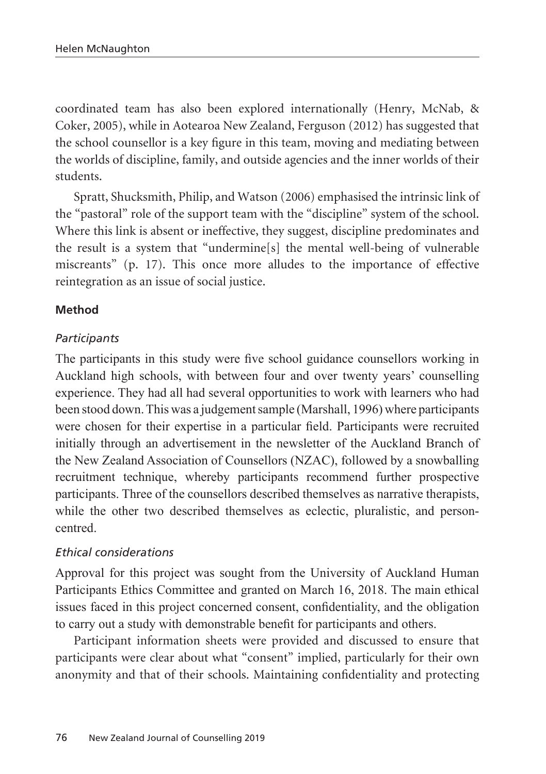coordinated team has also been explored internationally (Henry, McNab, & Coker, 2005), while in Aotearoa New Zealand, Ferguson (2012) has suggested that the school counsellor is a key figure in this team, moving and mediating between the worlds of discipline, family, and outside agencies and the inner worlds of their students.

Spratt, Shucksmith, Philip, and Watson (2006) emphasised the intrinsic link of the "pastoral" role of the support team with the "discipline" system of the school. Where this link is absent or ineffective, they suggest, discipline predominates and the result is a system that "undermine[s] the mental well-being of vulnerable miscreants" (p. 17). This once more alludes to the importance of effective reintegration as an issue of social justice.

## **Method**

## *Participants*

The participants in this study were five school guidance counsellors working in Auckland high schools, with between four and over twenty years' counselling experience. They had all had several opportunities to work with learners who had been stood down. This was a judgement sample (Marshall, 1996) where participants were chosen for their expertise in a particular field. Participants were recruited initially through an advertisement in the newsletter of the Auckland Branch of the New Zealand Association of Counsellors (NZAC), followed by a snowballing recruitment technique, whereby participants recommend further prospective participants. Three of the counsellors described themselves as narrative therapists, while the other two described themselves as eclectic, pluralistic, and personcentred.

## *Ethical considerations*

Approval for this project was sought from the University of Auckland Human Participants Ethics Committee and granted on March 16, 2018. The main ethical issues faced in this project concerned consent, confidentiality, and the obligation to carry out a study with demonstrable benefit for participants and others.

Participant information sheets were provided and discussed to ensure that participants were clear about what "consent" implied, particularly for their own anonymity and that of their schools. Maintaining confidentiality and protecting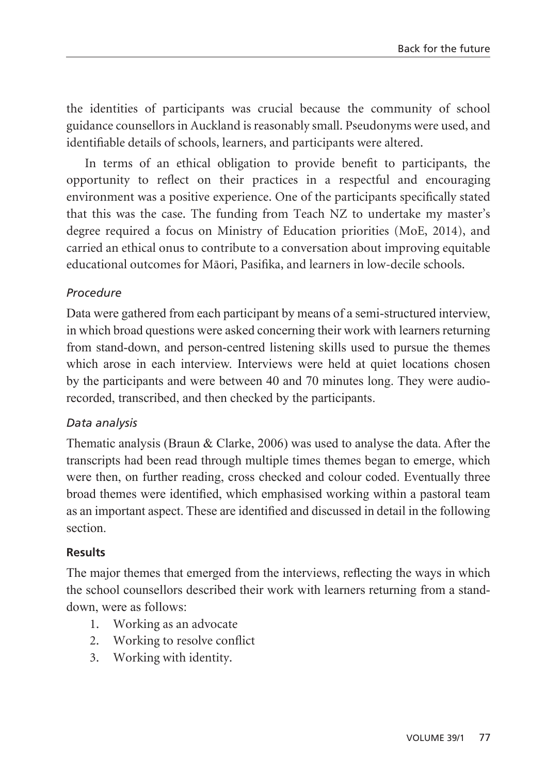the identities of participants was crucial because the community of school guidance counsellors in Auckland is reasonably small. Pseudonyms were used, and identifiable details of schools, learners, and participants were altered.

In terms of an ethical obligation to provide benefit to participants, the opportunity to reflect on their practices in a respectful and encouraging environment was a positive experience. One of the participants specifically stated that this was the case. The funding from Teach NZ to undertake my master's degree required a focus on Ministry of Education priorities (MoE, 2014), and carried an ethical onus to contribute to a conversation about improving equitable educational outcomes for Mäori, Pasifika, and learners in low-decile schools.

## *Procedure*

Data were gathered from each participant by means of a semi-structured interview, in which broad questions were asked concerning their work with learners returning from stand-down, and person-centred listening skills used to pursue the themes which arose in each interview. Interviews were held at quiet locations chosen by the participants and were between 40 and 70 minutes long. They were audiorecorded, transcribed, and then checked by the participants.

## *Data analysis*

Thematic analysis (Braun & Clarke, 2006) was used to analyse the data. After the transcripts had been read through multiple times themes began to emerge, which were then, on further reading, cross checked and colour coded. Eventually three broad themes were identified, which emphasised working within a pastoral team as an important aspect. These are identified and discussed in detail in the following section.

## **Results**

The major themes that emerged from the interviews, reflecting the ways in which the school counsellors described their work with learners returning from a standdown, were as follows:

- 1. Working as an advocate
- 2. Working to resolve conflict
- 3. Working with identity.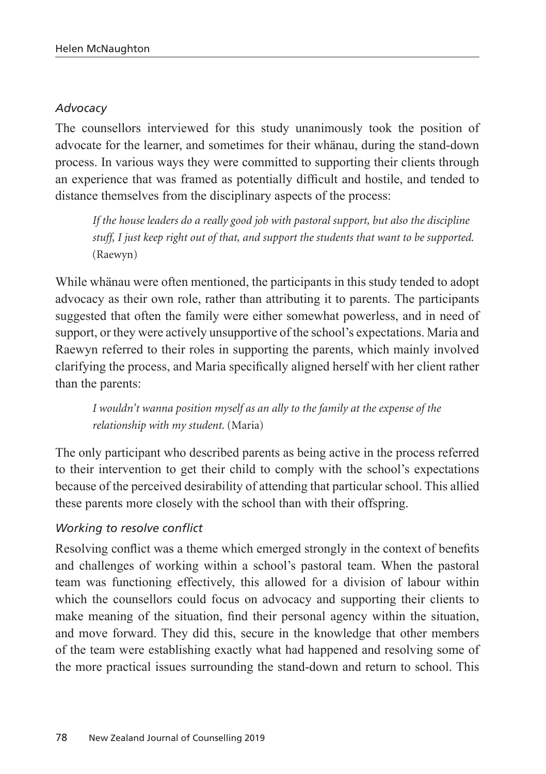#### *Advocacy*

The counsellors interviewed for this study unanimously took the position of advocate for the learner, and sometimes for their whänau, during the stand-down process. In various ways they were committed to supporting their clients through an experience that was framed as potentially difficult and hostile, and tended to distance themselves from the disciplinary aspects of the process:

*If the house leaders do a really good job with pastoral support, but also the discipline stuff, I just keep right out of that, and support the students that want to be supported.*  (Raewyn)

While whänau were often mentioned, the participants in this study tended to adopt advocacy as their own role, rather than attributing it to parents. The participants suggested that often the family were either somewhat powerless, and in need of support, or they were actively unsupportive of the school's expectations. Maria and Raewyn referred to their roles in supporting the parents, which mainly involved clarifying the process, and Maria specifically aligned herself with her client rather than the parents:

*I wouldn't wanna position myself as an ally to the family at the expense of the relationship with my student.* (Maria)

The only participant who described parents as being active in the process referred to their intervention to get their child to comply with the school's expectations because of the perceived desirability of attending that particular school. This allied these parents more closely with the school than with their offspring.

## *Working to resolve conflict*

Resolving conflict was a theme which emerged strongly in the context of benefits and challenges of working within a school's pastoral team. When the pastoral team was functioning effectively, this allowed for a division of labour within which the counsellors could focus on advocacy and supporting their clients to make meaning of the situation, find their personal agency within the situation, and move forward. They did this, secure in the knowledge that other members of the team were establishing exactly what had happened and resolving some of the more practical issues surrounding the stand-down and return to school. This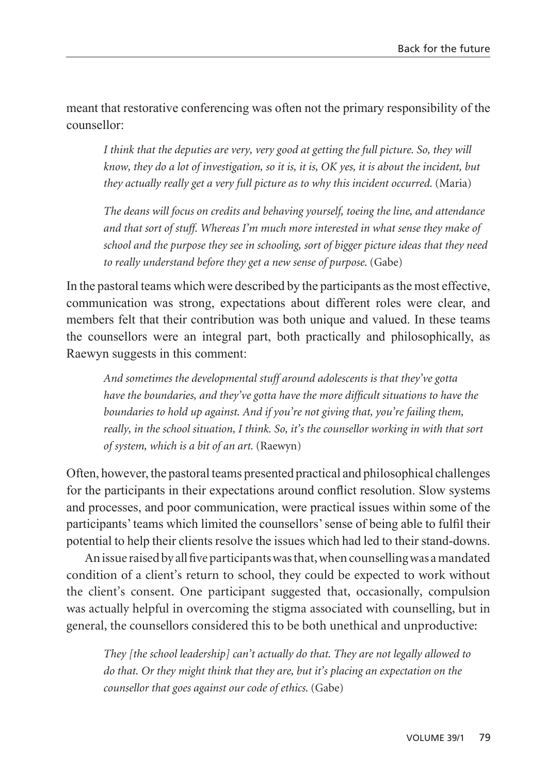meant that restorative conferencing was often not the primary responsibility of the counsellor:

*I think that the deputies are very, very good at getting the full picture. So, they will know, they do a lot of investigation, so it is, it is, OK yes, it is about the incident, but they actually really get a very full picture as to why this incident occurred.* (Maria)

*The deans will focus on credits and behaving yourself, toeing the line, and attendance and that sort of stuff. Whereas I'm much more interested in what sense they make of school and the purpose they see in schooling, sort of bigger picture ideas that they need to really understand before they get a new sense of purpose.* (Gabe)

In the pastoral teams which were described by the participants as the most effective, communication was strong, expectations about different roles were clear, and members felt that their contribution was both unique and valued. In these teams the counsellors were an integral part, both practically and philosophically, as Raewyn suggests in this comment:

*And sometimes the developmental stuff around adolescents is that they've gotta have the boundaries, and they've gotta have the more difficult situations to have the boundaries to hold up against. And if you're not giving that, you're failing them, really, in the school situation, I think. So, it's the counsellor working in with that sort of system, which is a bit of an art.* (Raewyn)

Often, however, the pastoral teams presented practical and philosophical challenges for the participants in their expectations around conflict resolution. Slow systems and processes, and poor communication, were practical issues within some of the participants' teams which limited the counsellors' sense of being able to fulfil their potential to help their clients resolve the issues which had led to their stand-downs.

An issue raised by all five participants was that, when counselling was a mandated condition of a client's return to school, they could be expected to work without the client's consent. One participant suggested that, occasionally, compulsion was actually helpful in overcoming the stigma associated with counselling, but in general, the counsellors considered this to be both unethical and unproductive:

*They [the school leadership] can't actually do that. They are not legally allowed to do that. Or they might think that they are, but it's placing an expectation on the counsellor that goes against our code of ethics.* (Gabe)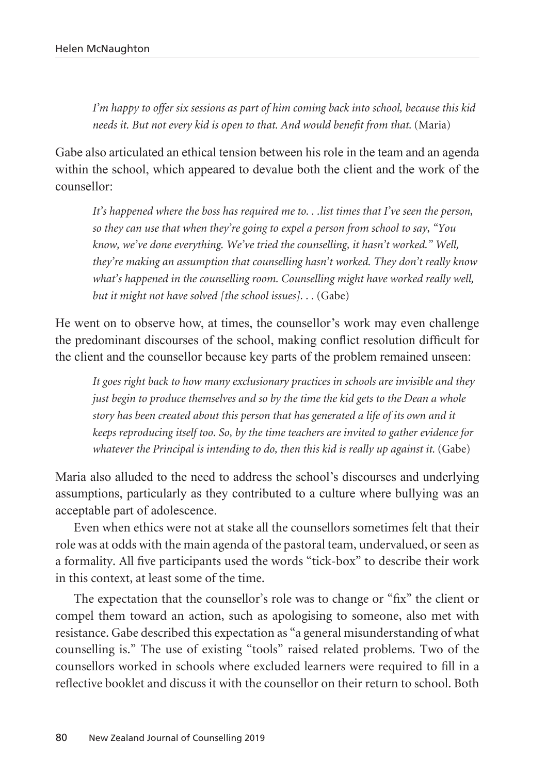*I'm happy to offer six sessions as part of him coming back into school, because this kid needs it. But not every kid is open to that. And would benefit from that.* (Maria)

Gabe also articulated an ethical tension between his role in the team and an agenda within the school, which appeared to devalue both the client and the work of the counsellor:

*It's happened where the boss has required me to. . .list times that I've seen the person, so they can use that when they're going to expel a person from school to say, "You know, we've done everything. We've tried the counselling, it hasn't worked." Well, they're making an assumption that counselling hasn't worked. They don't really know what's happened in the counselling room. Counselling might have worked really well, but it might not have solved [the school issues]...* (Gabe)

He went on to observe how, at times, the counsellor's work may even challenge the predominant discourses of the school, making conflict resolution difficult for the client and the counsellor because key parts of the problem remained unseen:

*It goes right back to how many exclusionary practices in schools are invisible and they just begin to produce themselves and so by the time the kid gets to the Dean a whole story has been created about this person that has generated a life of its own and it keeps reproducing itself too. So, by the time teachers are invited to gather evidence for whatever the Principal is intending to do, then this kid is really up against it.* (Gabe)

Maria also alluded to the need to address the school's discourses and underlying assumptions, particularly as they contributed to a culture where bullying was an acceptable part of adolescence.

Even when ethics were not at stake all the counsellors sometimes felt that their role was at odds with the main agenda of the pastoral team, undervalued, or seen as a formality. All five participants used the words "tick-box" to describe their work in this context, at least some of the time.

The expectation that the counsellor's role was to change or "fix" the client or compel them toward an action, such as apologising to someone, also met with resistance. Gabe described this expectation as "a general misunderstanding of what counselling is." The use of existing "tools" raised related problems. Two of the counsellors worked in schools where excluded learners were required to fill in a reflective booklet and discuss it with the counsellor on their return to school. Both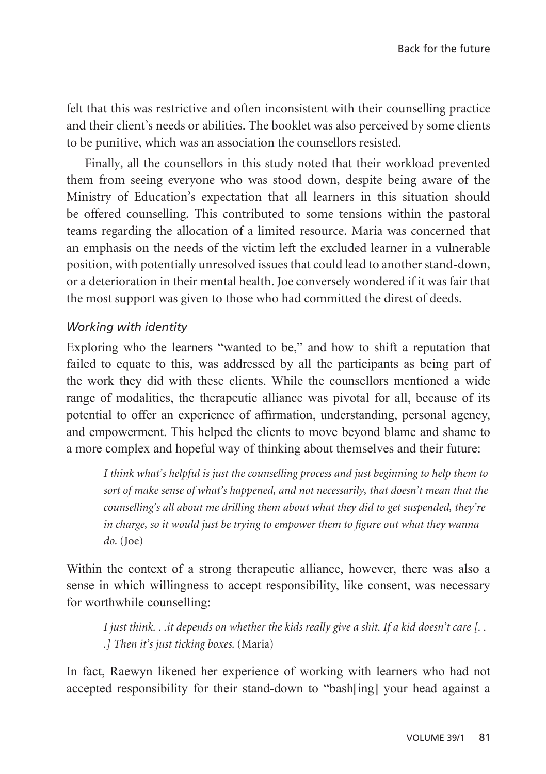felt that this was restrictive and often inconsistent with their counselling practice and their client's needs or abilities. The booklet was also perceived by some clients to be punitive, which was an association the counsellors resisted.

Finally, all the counsellors in this study noted that their workload prevented them from seeing everyone who was stood down, despite being aware of the Ministry of Education's expectation that all learners in this situation should be offered counselling. This contributed to some tensions within the pastoral teams regarding the allocation of a limited resource. Maria was concerned that an emphasis on the needs of the victim left the excluded learner in a vulnerable position, with potentially unresolved issues that could lead to another stand-down, or a deterioration in their mental health. Joe conversely wondered if it was fair that the most support was given to those who had committed the direst of deeds.

## *Working with identity*

Exploring who the learners "wanted to be," and how to shift a reputation that failed to equate to this, was addressed by all the participants as being part of the work they did with these clients. While the counsellors mentioned a wide range of modalities, the therapeutic alliance was pivotal for all, because of its potential to offer an experience of affirmation, understanding, personal agency, and empowerment. This helped the clients to move beyond blame and shame to a more complex and hopeful way of thinking about themselves and their future:

*I think what's helpful is just the counselling process and just beginning to help them to sort of make sense of what's happened, and not necessarily, that doesn't mean that the counselling's all about me drilling them about what they did to get suspended, they're in charge, so it would just be trying to empower them to figure out what they wanna do.* (Joe)

Within the context of a strong therapeutic alliance, however, there was also a sense in which willingness to accept responsibility, like consent, was necessary for worthwhile counselling:

*I just think. . .it depends on whether the kids really give a shit. If a kid doesn't care [. . .] Then it's just ticking boxes.* (Maria)

In fact, Raewyn likened her experience of working with learners who had not accepted responsibility for their stand-down to "bash[ing] your head against a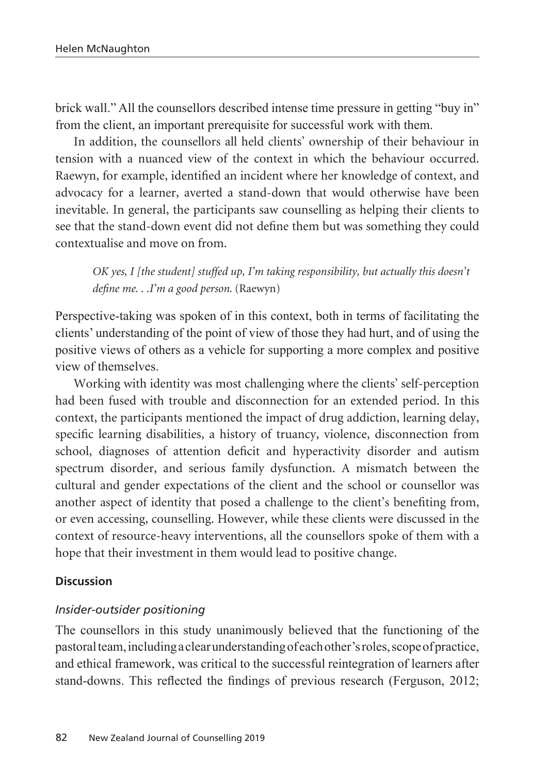brick wall." All the counsellors described intense time pressure in getting "buy in" from the client, an important prerequisite for successful work with them.

In addition, the counsellors all held clients' ownership of their behaviour in tension with a nuanced view of the context in which the behaviour occurred. Raewyn, for example, identified an incident where her knowledge of context, and advocacy for a learner, averted a stand-down that would otherwise have been inevitable. In general, the participants saw counselling as helping their clients to see that the stand-down event did not define them but was something they could contextualise and move on from.

*OK yes, I [the student] stuffed up, I'm taking responsibility, but actually this doesn't define me. . .I'm a good person.* (Raewyn)

Perspective-taking was spoken of in this context, both in terms of facilitating the clients' understanding of the point of view of those they had hurt, and of using the positive views of others as a vehicle for supporting a more complex and positive view of themselves.

Working with identity was most challenging where the clients' self-perception had been fused with trouble and disconnection for an extended period. In this context, the participants mentioned the impact of drug addiction, learning delay, specific learning disabilities, a history of truancy, violence, disconnection from school, diagnoses of attention deficit and hyperactivity disorder and autism spectrum disorder, and serious family dysfunction. A mismatch between the cultural and gender expectations of the client and the school or counsellor was another aspect of identity that posed a challenge to the client's benefiting from, or even accessing, counselling. However, while these clients were discussed in the context of resource-heavy interventions, all the counsellors spoke of them with a hope that their investment in them would lead to positive change.

#### **Discussion**

#### *Insider-outsider positioning*

The counsellors in this study unanimously believed that the functioning of the pastoral team, including a clear understanding of each other's roles, scope of practice, and ethical framework, was critical to the successful reintegration of learners after stand-downs. This reflected the findings of previous research (Ferguson, 2012;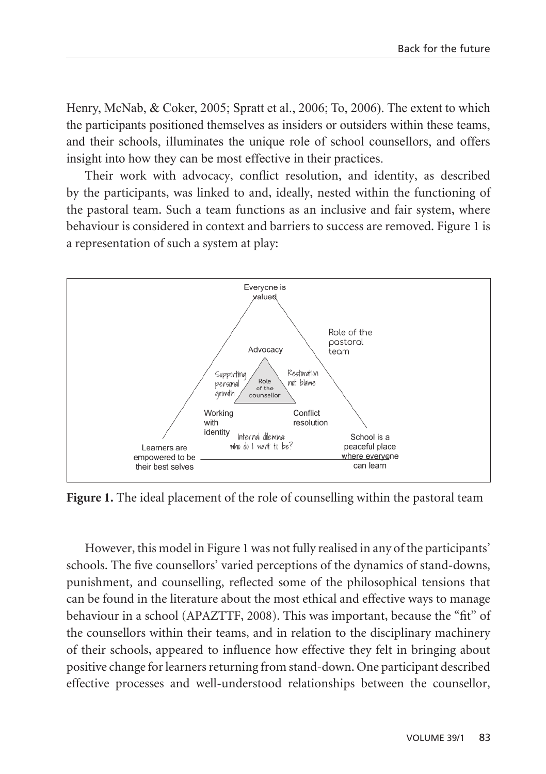Henry, McNab, & Coker, 2005; Spratt et al., 2006; To, 2006). The extent to which the participants positioned themselves as insiders or outsiders within these teams, and their schools, illuminates the unique role of school counsellors, and offers insight into how they can be most effective in their practices.

Their work with advocacy, conflict resolution, and identity, as described by the participants, was linked to and, ideally, nested within the functioning of the pastoral team. Such a team functions as an inclusive and fair system, where behaviour is considered in context and barriers to success are removed. Figure 1 is a representation of such a system at play:



**Figure 1.** The ideal placement of the role of counselling within the pastoral team

However, this model in Figure 1 was not fully realised in any of the participants' schools. The five counsellors' varied perceptions of the dynamics of stand-downs, punishment, and counselling, reflected some of the philosophical tensions that can be found in the literature about the most ethical and effective ways to manage behaviour in a school (APAZTTF, 2008). This was important, because the "fit" of the counsellors within their teams, and in relation to the disciplinary machinery of their schools, appeared to influence how effective they felt in bringing about positive change for learners returning from stand-down. One participant described effective processes and well-understood relationships between the counsellor,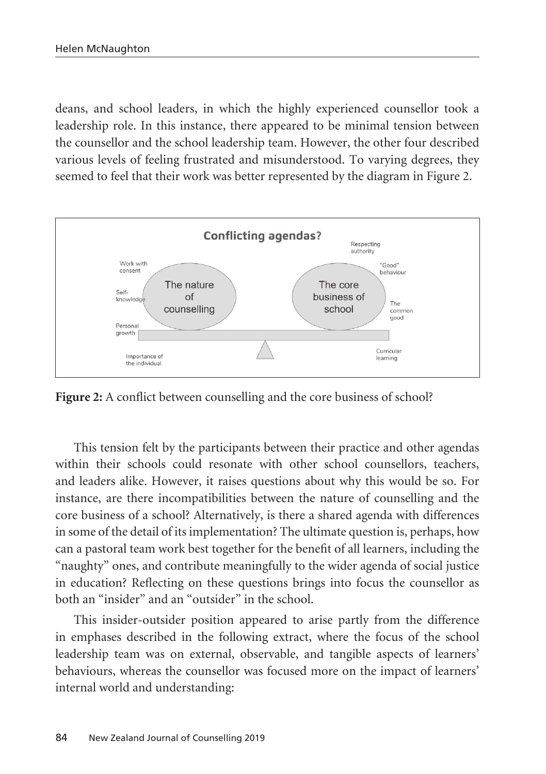deans, and school leaders, in which the highly experienced counsellor took a leadership role. In this instance, there appeared to be minimal tension between the counsellor and the school leadership team. However, the other four described various levels of feeling frustrated and misunderstood. To varying degrees, they seemed to feel that their work was better represented by the diagram in Figure 2.



Figure 2: A conflict between counselling and the core business of school?

This tension felt by the participants between their practice and other agendas within their schools could resonate with other school counsellors, teachers, and leaders alike. However, it raises questions about why this would be so. For instance, are there incompatibilities between the nature of counselling and the core business of a school? Alternatively, is there a shared agenda with differences in some of the detail of its implementation? The ultimate question is, perhaps, how can a pastoral team work best together for the benefit of all learners, including the "naughty" ones, and contribute meaningfully to the wider agenda of social justice in education? Reflecting on these questions brings into focus the counsellor as both an "insider" and an "outsider" in the school.

This insider-outsider position appeared to arise partly from the difference in emphases described in the following extract, where the focus of the school leadership team was on external, observable, and tangible aspects of learners' behaviours, whereas the counsellor was focused more on the impact of learners' internal world and understanding: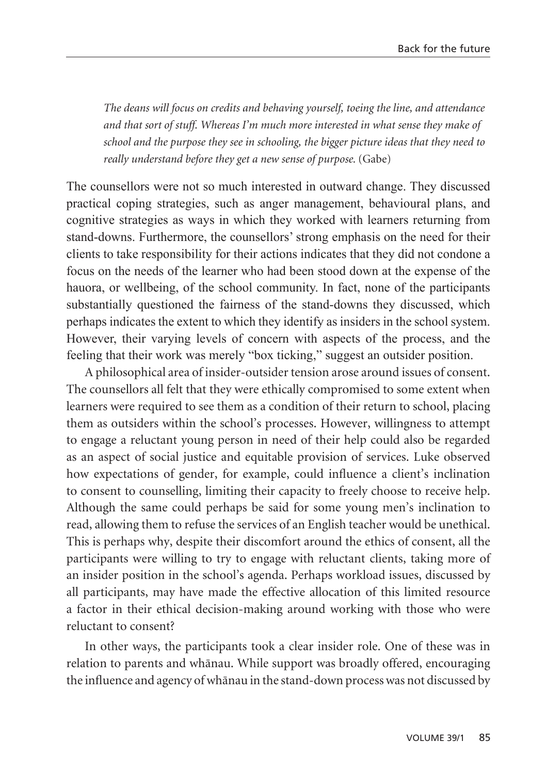*The deans will focus on credits and behaving yourself, toeing the line, and attendance and that sort of stuff. Whereas I'm much more interested in what sense they make of school and the purpose they see in schooling, the bigger picture ideas that they need to really understand before they get a new sense of purpose.* (Gabe)

The counsellors were not so much interested in outward change. They discussed practical coping strategies, such as anger management, behavioural plans, and cognitive strategies as ways in which they worked with learners returning from stand-downs. Furthermore, the counsellors' strong emphasis on the need for their clients to take responsibility for their actions indicates that they did not condone a focus on the needs of the learner who had been stood down at the expense of the hauora, or wellbeing, of the school community. In fact, none of the participants substantially questioned the fairness of the stand-downs they discussed, which perhaps indicates the extent to which they identify as insiders in the school system. However, their varying levels of concern with aspects of the process, and the feeling that their work was merely "box ticking," suggest an outsider position.

A philosophical area of insider-outsider tension arose around issues of consent. The counsellors all felt that they were ethically compromised to some extent when learners were required to see them as a condition of their return to school, placing them as outsiders within the school's processes. However, willingness to attempt to engage a reluctant young person in need of their help could also be regarded as an aspect of social justice and equitable provision of services. Luke observed how expectations of gender, for example, could influence a client's inclination to consent to counselling, limiting their capacity to freely choose to receive help. Although the same could perhaps be said for some young men's inclination to read, allowing them to refuse the services of an English teacher would be unethical. This is perhaps why, despite their discomfort around the ethics of consent, all the participants were willing to try to engage with reluctant clients, taking more of an insider position in the school's agenda. Perhaps workload issues, discussed by all participants, may have made the effective allocation of this limited resource a factor in their ethical decision-making around working with those who were reluctant to consent?

In other ways, the participants took a clear insider role. One of these was in relation to parents and whänau. While support was broadly offered, encouraging the influence and agency of whänau in the stand-down process was not discussed by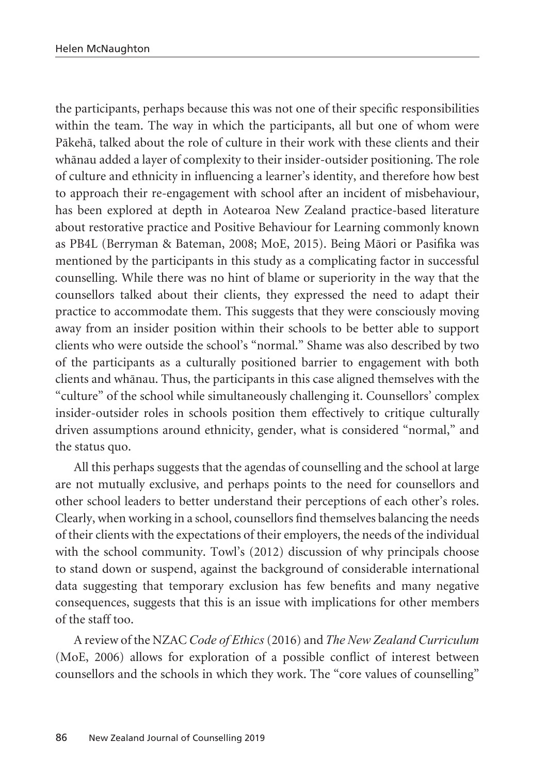the participants, perhaps because this was not one of their specific responsibilities within the team. The way in which the participants, all but one of whom were Päkehä, talked about the role of culture in their work with these clients and their whänau added a layer of complexity to their insider-outsider positioning. The role of culture and ethnicity in influencing a learner's identity, and therefore how best to approach their re-engagement with school after an incident of misbehaviour, has been explored at depth in Aotearoa New Zealand practice-based literature about restorative practice and Positive Behaviour for Learning commonly known as PB4L (Berryman & Bateman, 2008; MoE, 2015). Being Mäori or Pasifika was mentioned by the participants in this study as a complicating factor in successful counselling. While there was no hint of blame or superiority in the way that the counsellors talked about their clients, they expressed the need to adapt their practice to accommodate them. This suggests that they were consciously moving away from an insider position within their schools to be better able to support clients who were outside the school's "normal." Shame was also described by two of the participants as a culturally positioned barrier to engagement with both clients and whänau. Thus, the participants in this case aligned themselves with the "culture" of the school while simultaneously challenging it. Counsellors' complex insider-outsider roles in schools position them effectively to critique culturally driven assumptions around ethnicity, gender, what is considered "normal," and the status quo.

All this perhaps suggests that the agendas of counselling and the school at large are not mutually exclusive, and perhaps points to the need for counsellors and other school leaders to better understand their perceptions of each other's roles. Clearly, when working in a school, counsellors find themselves balancing the needs of their clients with the expectations of their employers, the needs of the individual with the school community. Towl's (2012) discussion of why principals choose to stand down or suspend, against the background of considerable international data suggesting that temporary exclusion has few benefits and many negative consequences, suggests that this is an issue with implications for other members of the staff too.

A review of the NZAC *Code of Ethics* (2016) and *The New Zealand Curriculum* (MoE, 2006) allows for exploration of a possible conflict of interest between counsellors and the schools in which they work. The "core values of counselling"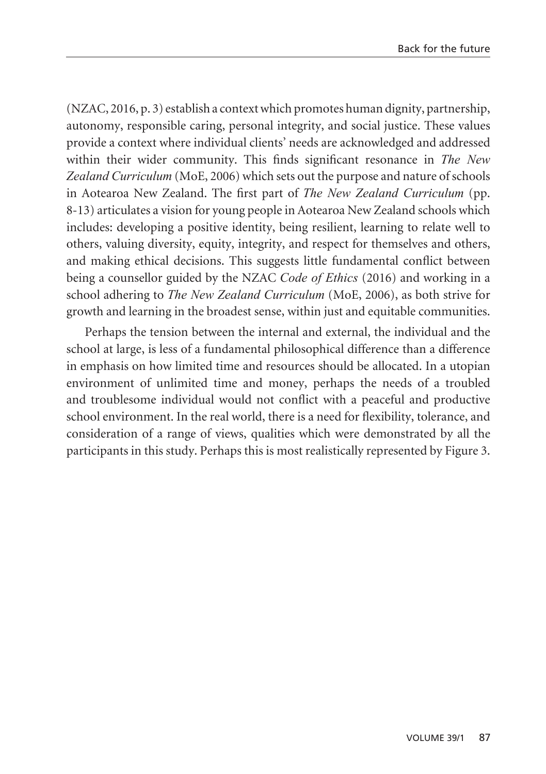(NZAC, 2016, p. 3) establish a context which promotes human dignity, partnership, autonomy, responsible caring, personal integrity, and social justice. These values provide a context where individual clients' needs are acknowledged and addressed within their wider community. This finds significant resonance in *The New Zealand Curriculum* (MoE, 2006) which sets out the purpose and nature of schools in Aotearoa New Zealand. The first part of *The New Zealand Curriculum* (pp. 8-13) articulates a vision for young people in Aotearoa New Zealand schools which includes: developing a positive identity, being resilient, learning to relate well to others, valuing diversity, equity, integrity, and respect for themselves and others, and making ethical decisions. This suggests little fundamental conflict between being a counsellor guided by the NZAC *Code of Ethics* (2016) and working in a school adhering to *The New Zealand Curriculum* (MoE, 2006), as both strive for growth and learning in the broadest sense, within just and equitable communities.

Perhaps the tension between the internal and external, the individual and the school at large, is less of a fundamental philosophical difference than a difference in emphasis on how limited time and resources should be allocated. In a utopian environment of unlimited time and money, perhaps the needs of a troubled and troublesome individual would not conflict with a peaceful and productive school environment. In the real world, there is a need for flexibility, tolerance, and consideration of a range of views, qualities which were demonstrated by all the participants in this study. Perhaps this is most realistically represented by Figure 3.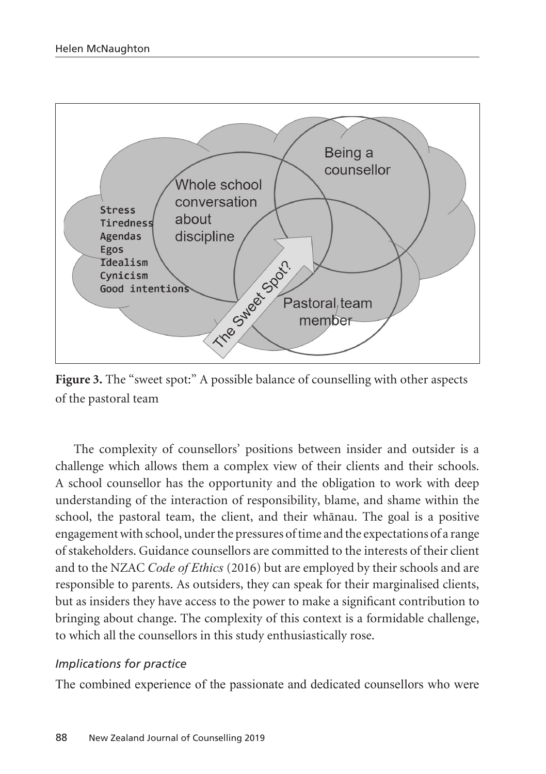

Figure 3. The "sweet spot:" A possible balance of counselling with other aspects of the pastoral team

The complexity of counsellors' positions between insider and outsider is a challenge which allows them a complex view of their clients and their schools. A school counsellor has the opportunity and the obligation to work with deep understanding of the interaction of responsibility, blame, and shame within the school, the pastoral team, the client, and their whänau. The goal is a positive engagement with school, under the pressures of time and the expectations of a range of stakeholders. Guidance counsellors are committed to the interests of their client and to the NZAC *Code of Ethics* (2016) but are employed by their schools and are responsible to parents. As outsiders, they can speak for their marginalised clients, but as insiders they have access to the power to make a significant contribution to bringing about change. The complexity of this context is a formidable challenge, to which all the counsellors in this study enthusiastically rose.

#### *Implications for practice*

The combined experience of the passionate and dedicated counsellors who were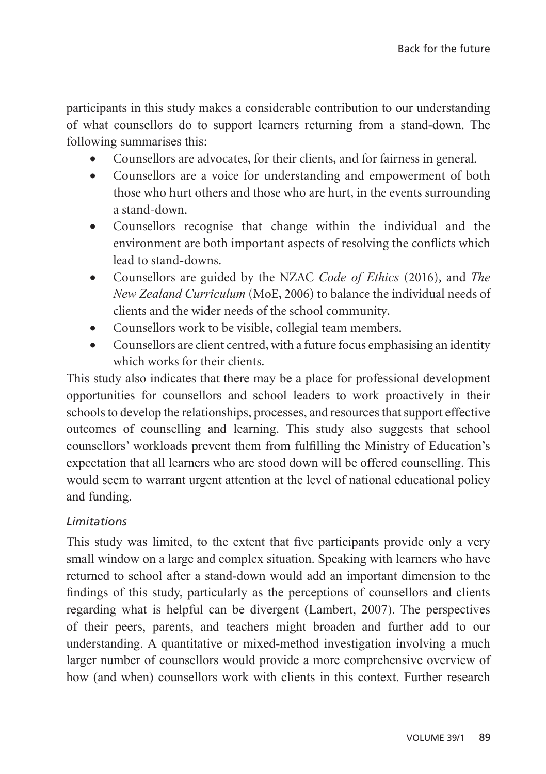participants in this study makes a considerable contribution to our understanding of what counsellors do to support learners returning from a stand-down. The following summarises this:

- Counsellors are advocates, for their clients, and for fairness in general.
- Counsellors are a voice for understanding and empowerment of both those who hurt others and those who are hurt, in the events surrounding a stand-down.
- • Counsellors recognise that change within the individual and the environment are both important aspects of resolving the conflicts which lead to stand-downs.
- • Counsellors are guided by the NZAC *Code of Ethics* (2016), and *The New Zealand Curriculum* (MoE, 2006) to balance the individual needs of clients and the wider needs of the school community.
- Counsellors work to be visible, collegial team members.
- Counsellors are client centred, with a future focus emphasising an identity which works for their clients.

This study also indicates that there may be a place for professional development opportunities for counsellors and school leaders to work proactively in their schools to develop the relationships, processes, and resources that support effective outcomes of counselling and learning. This study also suggests that school counsellors' workloads prevent them from fulfilling the Ministry of Education's expectation that all learners who are stood down will be offered counselling. This would seem to warrant urgent attention at the level of national educational policy and funding.

## *Limitations*

This study was limited, to the extent that five participants provide only a very small window on a large and complex situation. Speaking with learners who have returned to school after a stand-down would add an important dimension to the findings of this study, particularly as the perceptions of counsellors and clients regarding what is helpful can be divergent (Lambert, 2007). The perspectives of their peers, parents, and teachers might broaden and further add to our understanding. A quantitative or mixed-method investigation involving a much larger number of counsellors would provide a more comprehensive overview of how (and when) counsellors work with clients in this context. Further research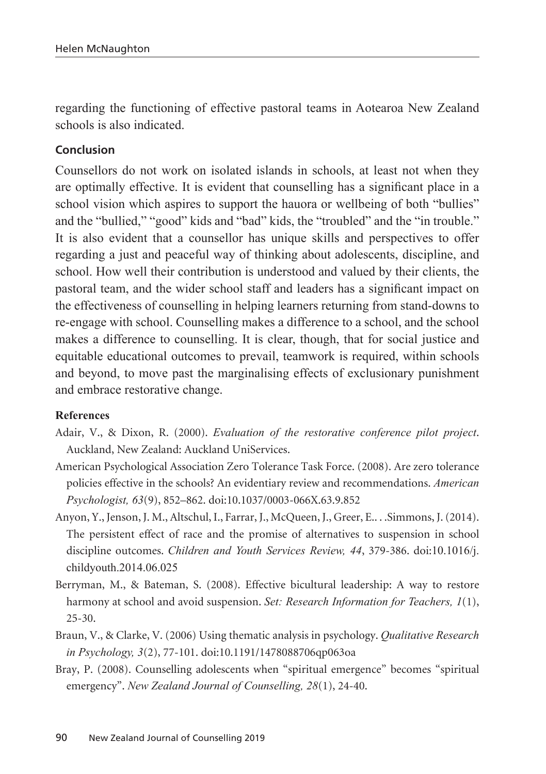regarding the functioning of effective pastoral teams in Aotearoa New Zealand schools is also indicated.

#### **Conclusion**

Counsellors do not work on isolated islands in schools, at least not when they are optimally effective. It is evident that counselling has a significant place in a school vision which aspires to support the hauora or wellbeing of both "bullies" and the "bullied," "good" kids and "bad" kids, the "troubled" and the "in trouble." It is also evident that a counsellor has unique skills and perspectives to offer regarding a just and peaceful way of thinking about adolescents, discipline, and school. How well their contribution is understood and valued by their clients, the pastoral team, and the wider school staff and leaders has a significant impact on the effectiveness of counselling in helping learners returning from stand-downs to re-engage with school. Counselling makes a difference to a school, and the school makes a difference to counselling. It is clear, though, that for social justice and equitable educational outcomes to prevail, teamwork is required, within schools and beyond, to move past the marginalising effects of exclusionary punishment and embrace restorative change.

#### **References**

- Adair, V., & Dixon, R. (2000). *Evaluation of the restorative conference pilot project*. Auckland, New Zealand: Auckland UniServices.
- American Psychological Association Zero Tolerance Task Force. (2008). Are zero tolerance policies effective in the schools? An evidentiary review and recommendations. *American Psychologist, 63*(9), 852–862. doi:10.1037/0003-066X.63.9.852
- Anyon, Y., Jenson, J. M., Altschul, I., Farrar, J., McQueen, J., Greer, E.. . .Simmons, J. (2014). The persistent effect of race and the promise of alternatives to suspension in school discipline outcomes. *Children and Youth Services Review, 44*, 379-386. doi:10.1016/j. childyouth.2014.06.025
- Berryman, M., & Bateman, S. (2008). Effective bicultural leadership: A way to restore harmony at school and avoid suspension. *Set: Research Information for Teachers, 1*(1), 25-30.
- Braun, V., & Clarke, V. (2006) Using thematic analysis in psychology. *Qualitative Research in Psychology, 3*(2), 77-101. doi:10.1191/1478088706qp063oa
- Bray, P. (2008). Counselling adolescents when "spiritual emergence" becomes "spiritual emergency". *New Zealand Journal of Counselling, 28*(1), 24-40.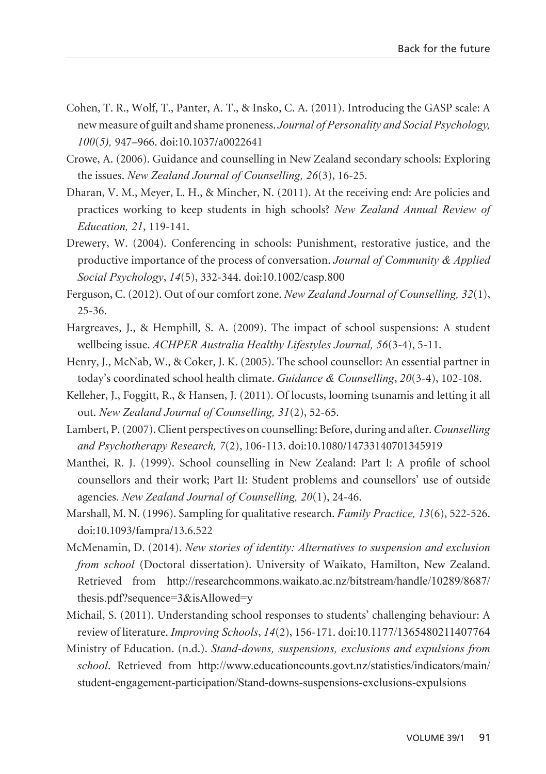- Cohen, T. R., Wolf, T., Panter, A. T., & Insko, C. A. (2011). Introducing the GASP scale: A new measure of guilt and shame proneness. *Journal of Personality and Social Psychology, 100*(*5),* 947–966. doi:10.1037/a0022641
- Crowe, A. (2006). Guidance and counselling in New Zealand secondary schools: Exploring the issues. *New Zealand Journal of Counselling, 26*(3), 16-25.
- Dharan, V. M., Meyer, L. H., & Mincher, N. (2011). At the receiving end: Are policies and practices working to keep students in high schools? *New Zealand Annual Review of Education, 21*, 119-141.
- Drewery, W. (2004). Conferencing in schools: Punishment, restorative justice, and the productive importance of the process of conversation. *Journal of Community & Applied Social Psychology*, *14*(5), 332-344. doi:10.1002/casp.800
- Ferguson, C. (2012). Out of our comfort zone. *New Zealand Journal of Counselling, 32*(1), 25-36.
- Hargreaves, J., & Hemphill, S. A. (2009). The impact of school suspensions: A student wellbeing issue. *ACHPER Australia Healthy Lifestyles Journal, 56*(3-4), 5-11.
- Henry, J., McNab, W., & Coker, J. K. (2005). The school counsellor: An essential partner in today's coordinated school health climate. *Guidance & Counselling*, *20*(3-4), 102-108.
- Kelleher, J., Foggitt, R., & Hansen, J. (2011). Of locusts, looming tsunamis and letting it all out. *New Zealand Journal of Counselling, 31*(2), 52-65.
- Lambert, P. (2007). Client perspectives on counselling: Before, during and after. *Counselling and Psychotherapy Research, 7*(2), 106-113. doi:10.1080/14733140701345919
- Manthei, R. J. (1999). School counselling in New Zealand: Part I: A profile of school counsellors and their work; Part II: Student problems and counsellors' use of outside agencies. *New Zealand Journal of Counselling, 20*(1), 24-46.
- Marshall, M. N. (1996). Sampling for qualitative research. *Family Practice, 13*(6), 522-526. doi:10.1093/fampra/13.6.522
- McMenamin, D. (2014). *New stories of identity: Alternatives to suspension and exclusion from school* (Doctoral dissertation). University of Waikato, Hamilton, New Zealand. Retrieved from http://researchcommons.waikato.ac.nz/bitstream/handle/10289/8687/ thesis.pdf?sequence=3&isAllowed=y
- Michail, S. (2011). Understanding school responses to students' challenging behaviour: A review of literature. *Improving Schools*, *14*(2), 156-171. doi:10.1177/1365480211407764
- Ministry of Education. (n.d.). *Stand-downs, suspensions, exclusions and expulsions from school*. Retrieved from http://www.educationcounts.govt.nz/statistics/indicators/main/ student-engagement-participation/Stand-downs-suspensions-exclusions-expulsions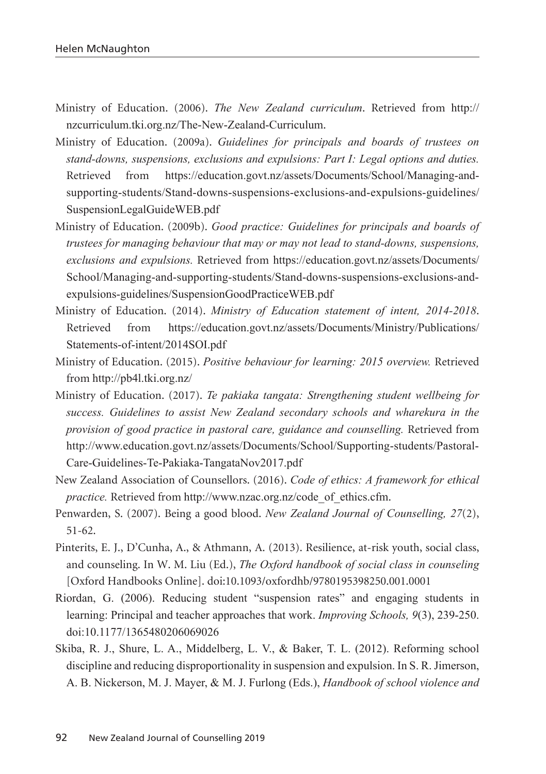- Ministry of Education. (2006). *The New Zealand curriculum*. Retrieved from http:// nzcurriculum.tki.org.nz/The-New-Zealand-Curriculum.
- Ministry of Education. (2009a). *Guidelines for principals and boards of trustees on stand-downs, suspensions, exclusions and expulsions: Part I: Legal options and duties.* Retrieved from https://education.govt.nz/assets/Documents/School/Managing-andsupporting-students/Stand-downs-suspensions-exclusions-and-expulsions-guidelines/ SuspensionLegalGuideWEB.pdf
- Ministry of Education. (2009b). *Good practice: Guidelines for principals and boards of trustees for managing behaviour that may or may not lead to stand-downs, suspensions, exclusions and expulsions.* Retrieved from https://education.govt.nz/assets/Documents/ School/Managing-and-supporting-students/Stand-downs-suspensions-exclusions-andexpulsions-guidelines/SuspensionGoodPracticeWEB.pdf
- Ministry of Education. (2014). *Ministry of Education statement of intent, 2014-2018*. Retrieved from https://education.govt.nz/assets/Documents/Ministry/Publications/ Statements-of-intent/2014SOI.pdf
- Ministry of Education. (2015). *Positive behaviour for learning: 2015 overview.* Retrieved from http://pb4l.tki.org.nz/
- Ministry of Education. (2017). *Te pakiaka tangata: Strengthening student wellbeing for success. Guidelines to assist New Zealand secondary schools and wharekura in the provision of good practice in pastoral care, guidance and counselling.* Retrieved from http://www.education.govt.nz/assets/Documents/School/Supporting-students/Pastoral-Care-Guidelines-Te-Pakiaka-TangataNov2017.pdf
- New Zealand Association of Counsellors. (2016). *Code of ethics: A framework for ethical practice.* Retrieved from http://www.nzac.org.nz/code\_of\_ethics.cfm.
- Penwarden, S. (2007). Being a good blood. *New Zealand Journal of Counselling, 27*(2), 51-62.
- Pinterits, E. J., D'Cunha, A., & Athmann, A. (2013). Resilience, at-risk youth, social class, and counseling. In W. M. Liu (Ed.), *The Oxford handbook of social class in counseling*  [Oxford Handbooks Online]. doi:10.1093/oxfordhb/9780195398250.001.0001
- Riordan, G. (2006). Reducing student "suspension rates" and engaging students in learning: Principal and teacher approaches that work. *Improving Schools, 9*(3), 239-250. doi:10.1177/1365480206069026
- Skiba, R. J., Shure, L. A., Middelberg, L. V., & Baker, T. L. (2012). Reforming school discipline and reducing disproportionality in suspension and expulsion. In S. R. Jimerson, A. B. Nickerson, M. J. Mayer, & M. J. Furlong (Eds.), *Handbook of school violence and*